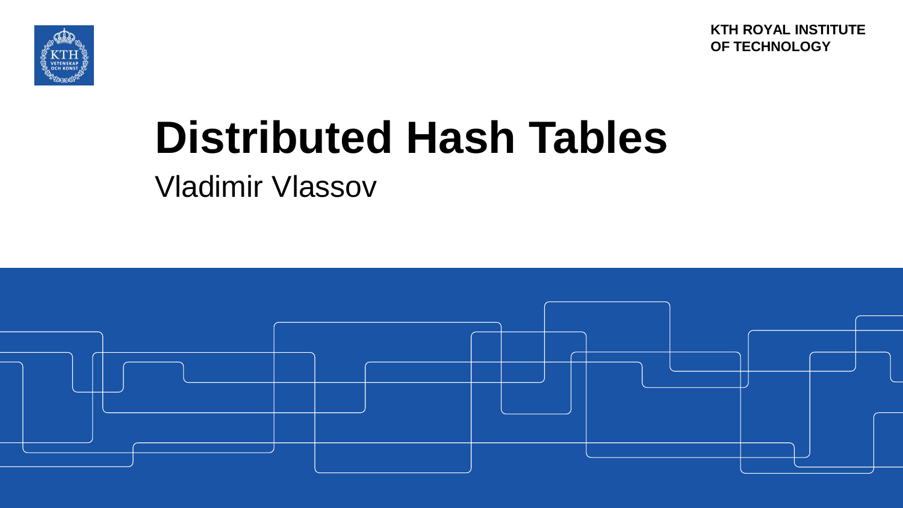**KTH ROYAL INSTITUTE OF TECHNOLOGY**



# **Distributed Hash Tables**

Vladimir Vlassov

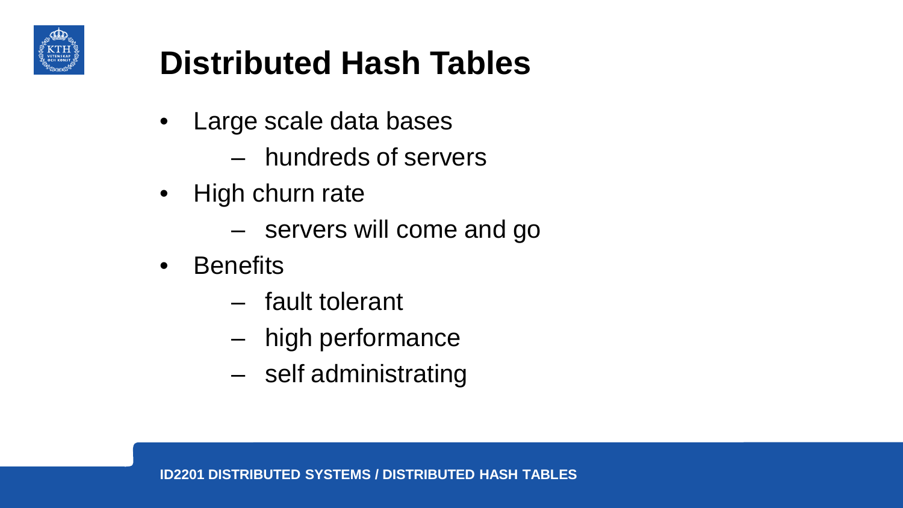

# **Distributed Hash Tables**

- Large scale data bases
	- hundreds of servers
- High churn rate
	- servers will come and go
- Benefits
	- fault tolerant
	- high performance
	- self administrating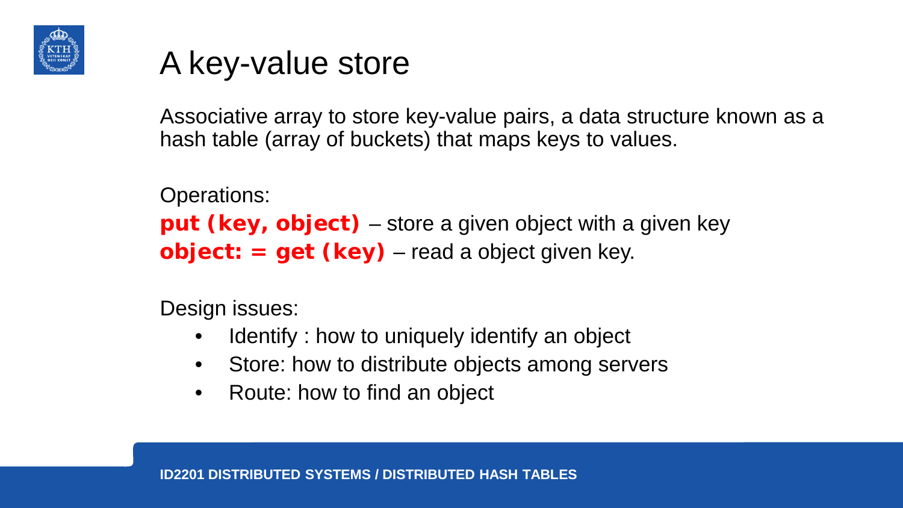

### A key-value store

Associative array to store key-value pairs, a data structure known as a hash table (array of buckets) that maps keys to values.

Operations:

**put (key, object)** – store a given object with a given key **object: = get (key)** – read a object given key.

Design issues:

- Identify : how to uniquely identify an object
- Store: how to distribute objects among servers
- Route: how to find an object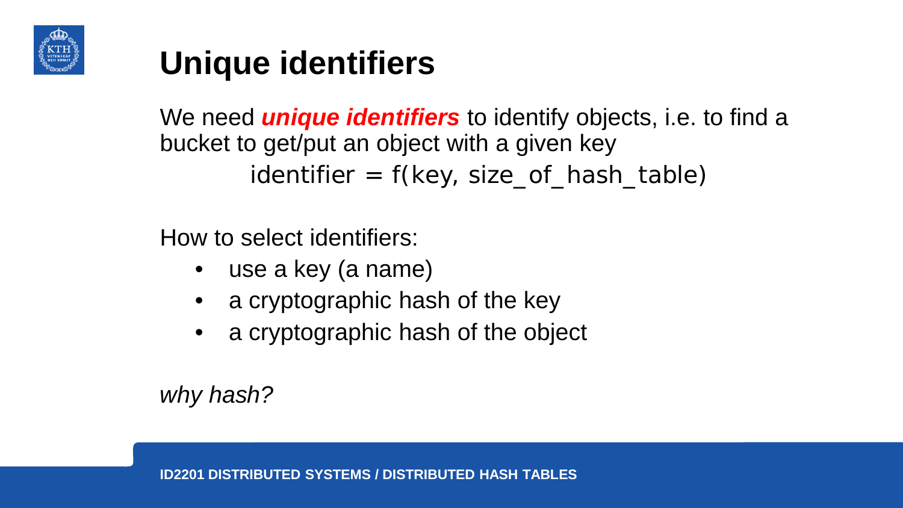

# **Unique identifiers**

We need *unique identifiers* to identify objects, i.e. to find a bucket to get/put an object with a given key  $identifier = f(key, size_of\_hash\_table)$ 

How to select identifiers:

- use a key (a name)
- a cryptographic hash of the key
- a cryptographic hash of the object

*why hash?*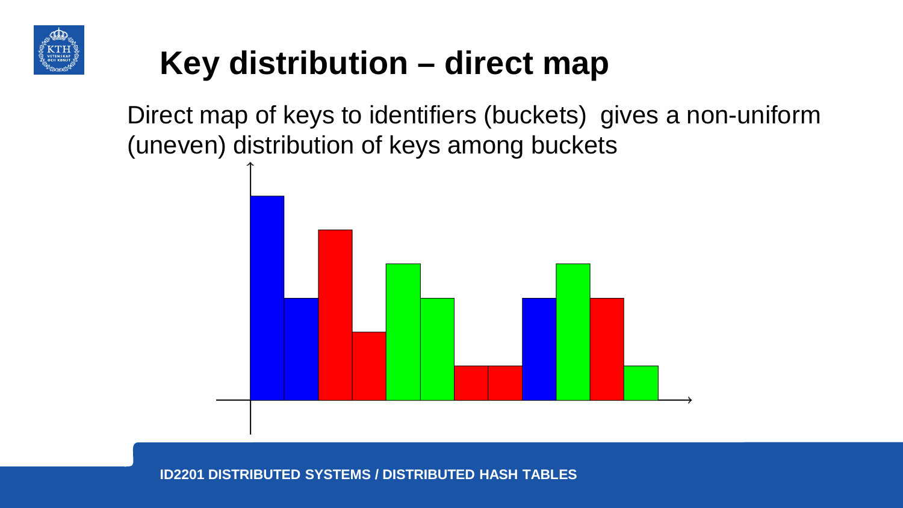

# **Key distribution – direct map**

Direct map of keys to identifiers (buckets) gives a non-uniform (uneven) distribution of keys among buckets

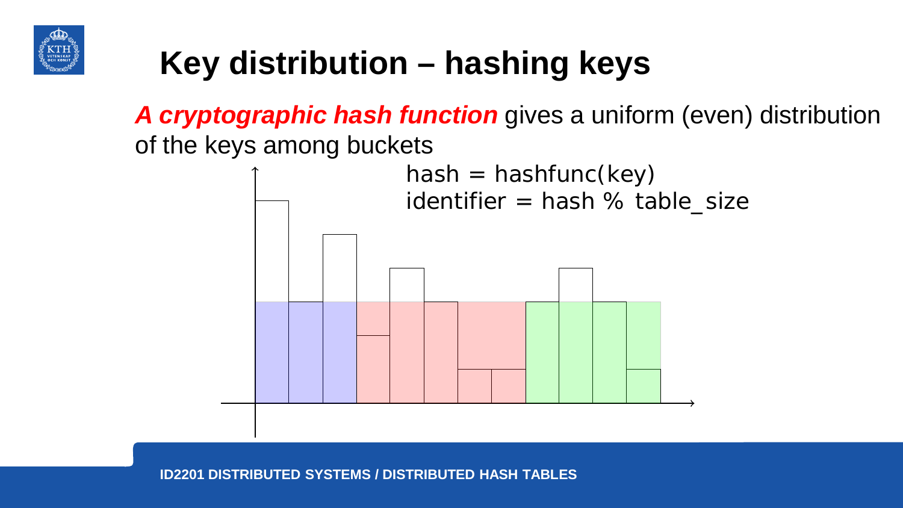

# **Key distribution – hashing keys**

*A cryptographic hash function* gives a uniform (even) distribution of the keys among buckets

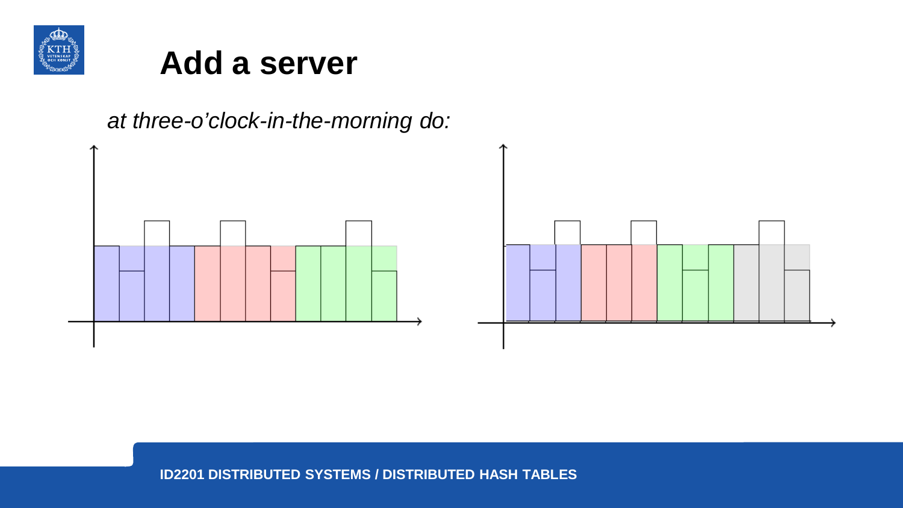

#### **Add a server**

*at three-o'clock-in-the-morning do:*

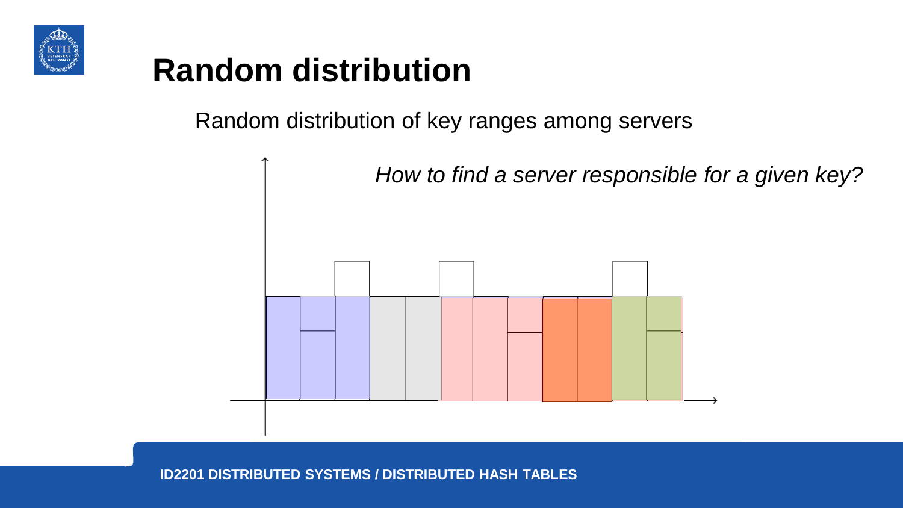

# **Random distribution**

Random distribution of key ranges among servers

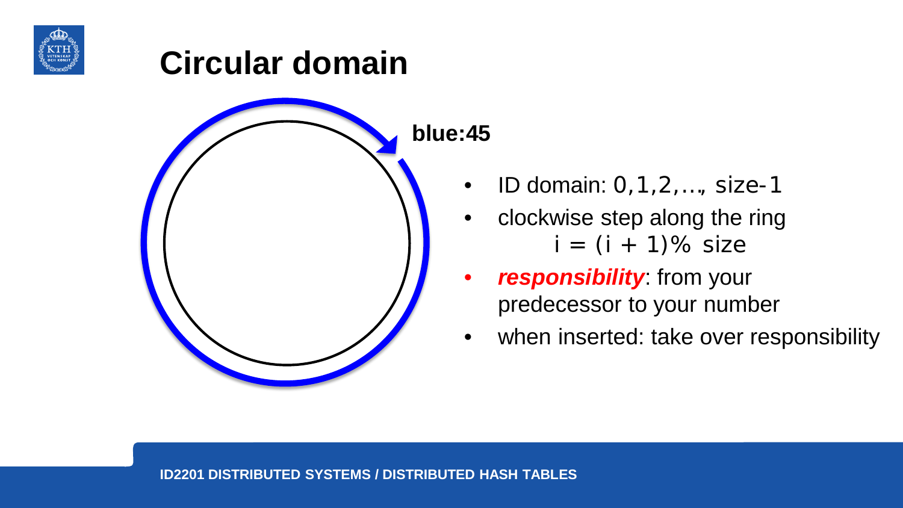



**blue:45**

- ID domain:  $0,1,2,...$ , size-1
- clockwise step along the ring  $i = (i + 1)\%$  size
- *responsibility*: from your predecessor to your number
- when inserted: take over responsibility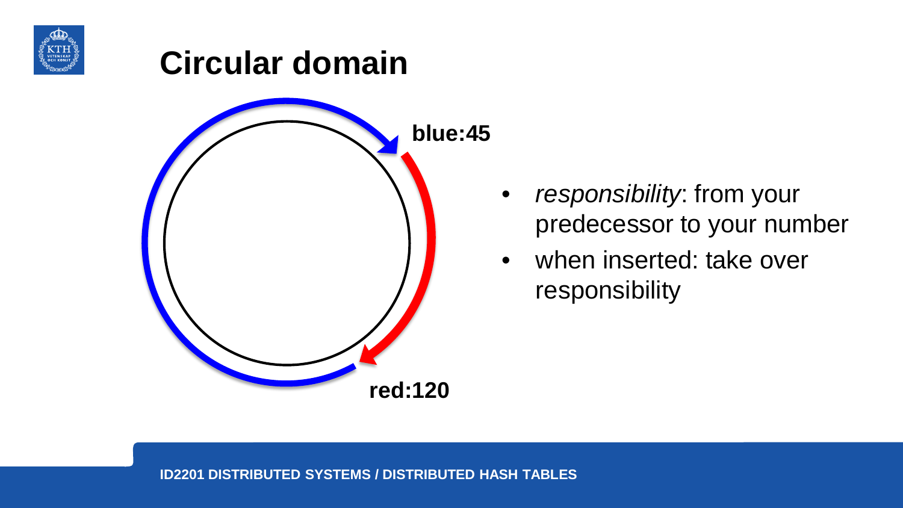



- *responsibility*: from your predecessor to your number
- when inserted: take over responsibility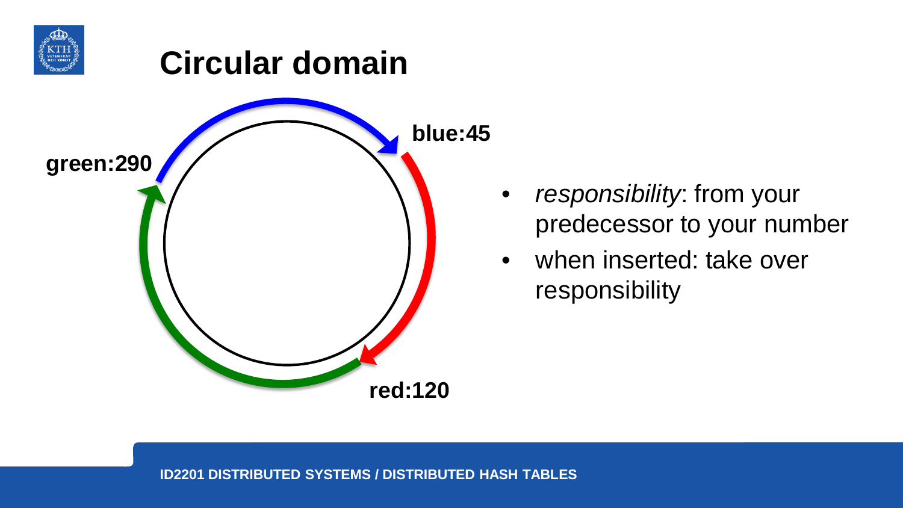



- *responsibility*: from your predecessor to your number
- when inserted: take over responsibility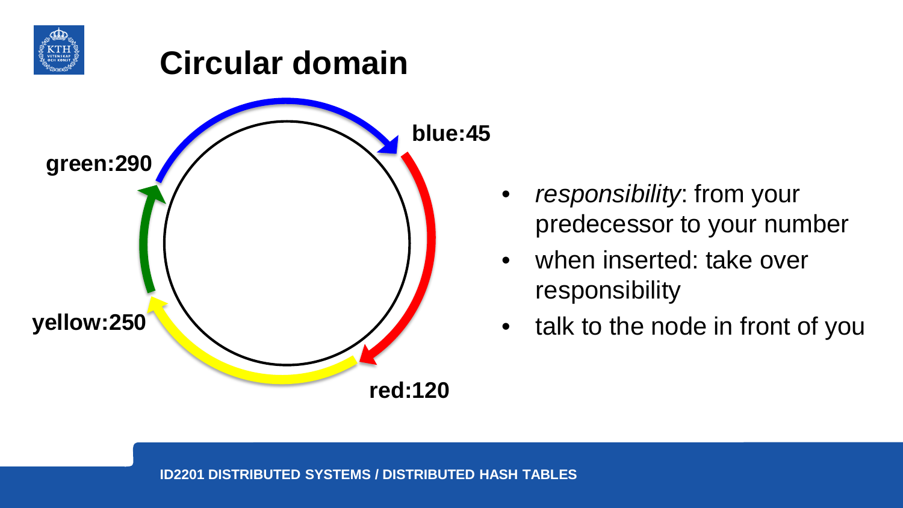



- *responsibility*: from your predecessor to your number
- when inserted: take over responsibility
- talk to the node in front of you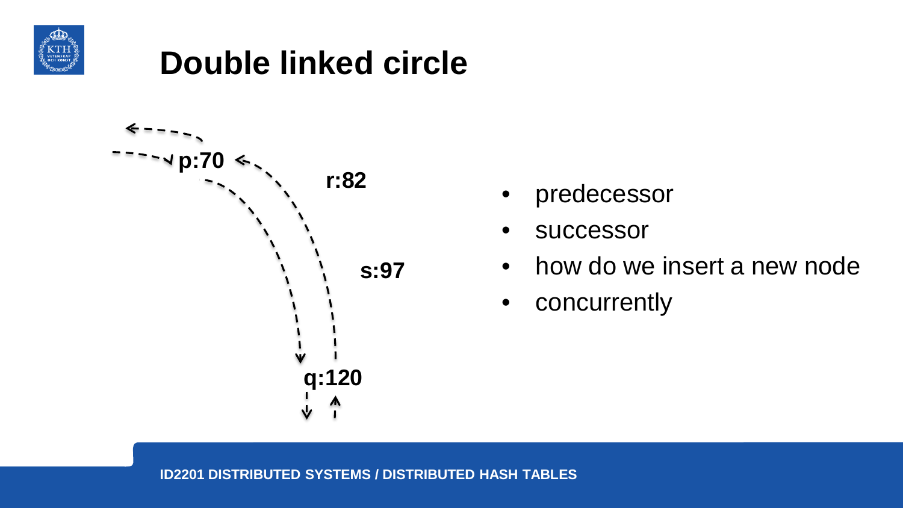

**Double linked circle**



- predecessor
- **successor**
- how do we insert a new node
- concurrently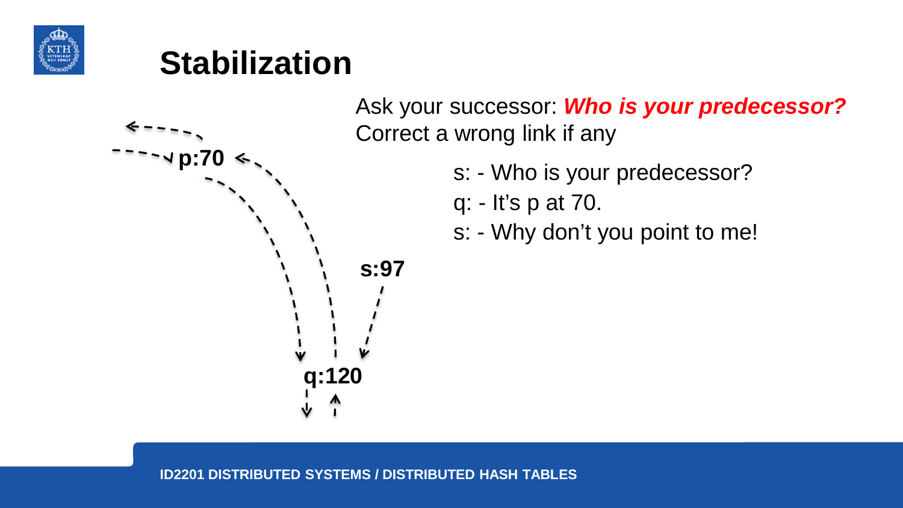

# **Stabilization**



Ask your successor: *Who is your predecessor?*  Correct a wrong link if any

- s: Who is your predecessor?
- q: It's p at 70.
- s: Why don't you point to me!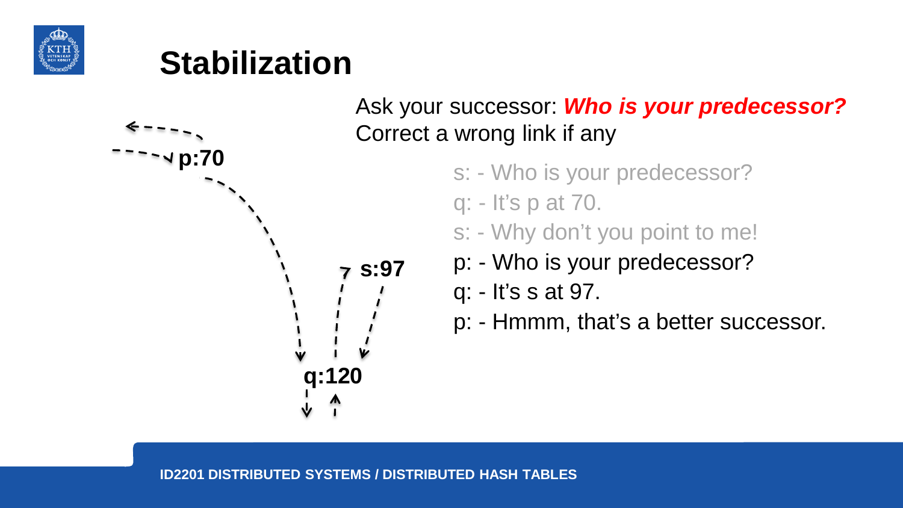

# **Stabilization**



#### Ask your successor: *Who is your predecessor?*  Correct a wrong link if any

- s: Who is your predecessor?
- q: It's p at 70.
- s: Why don't you point to me!
- p: Who is your predecessor?
- q: It's s at 97.
- p: Hmmm, that's a better successor.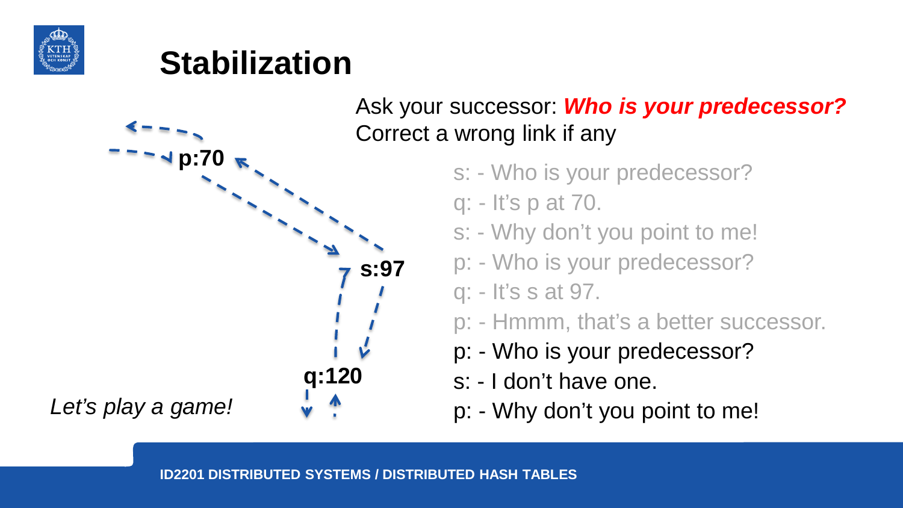

# **Stabilization**



Ask your successor: *Who is your predecessor?*  Correct a wrong link if any

- s: Who is your predecessor?
- q: It's p at 70.
- s: Why don't you point to me!
- p: Who is your predecessor?
- q: It's s at 97.
- p: Hmmm, that's a better successor.
- p: Who is your predecessor?
- s: I don't have one.
- p: Why don't you point to me!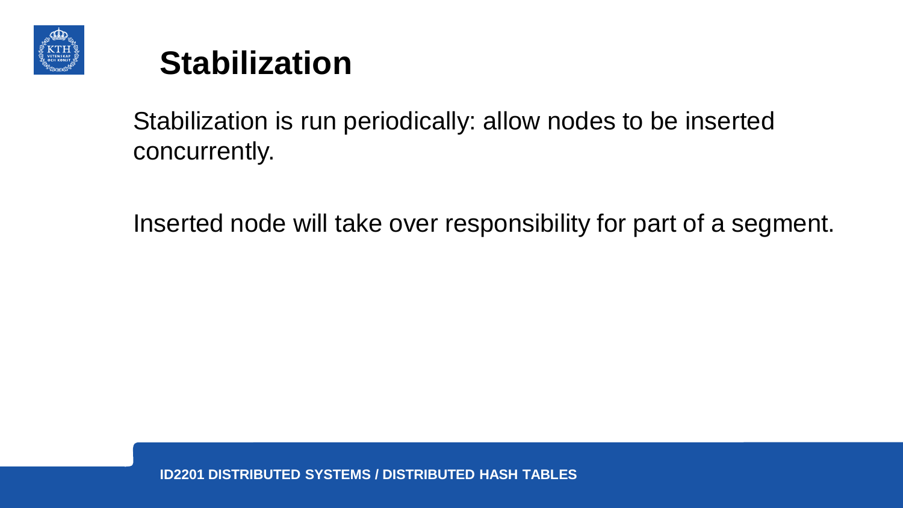



#### Stabilization is run periodically: allow nodes to be inserted concurrently.

Inserted node will take over responsibility for part of a segment.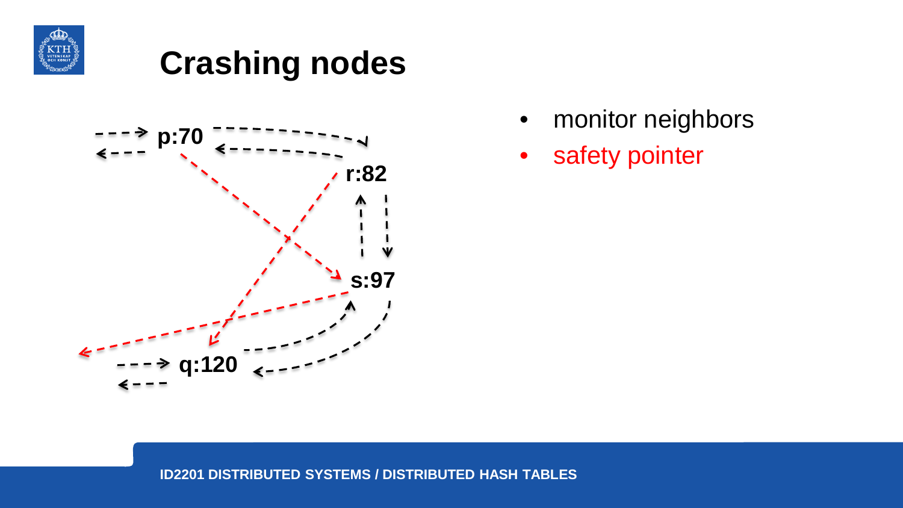



- monitor neighbors
- safety pointer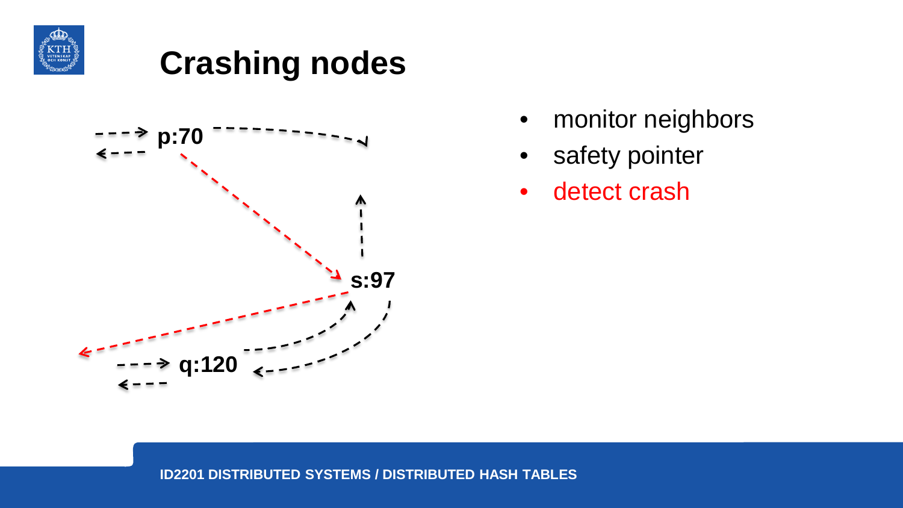



- monitor neighbors
- safety pointer
- detect crash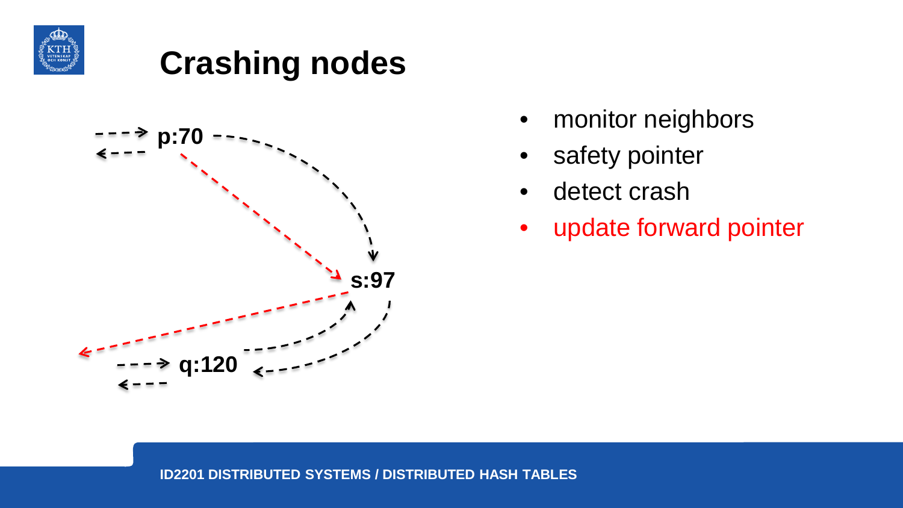



- monitor neighbors
- safety pointer
- detect crash
- update forward pointer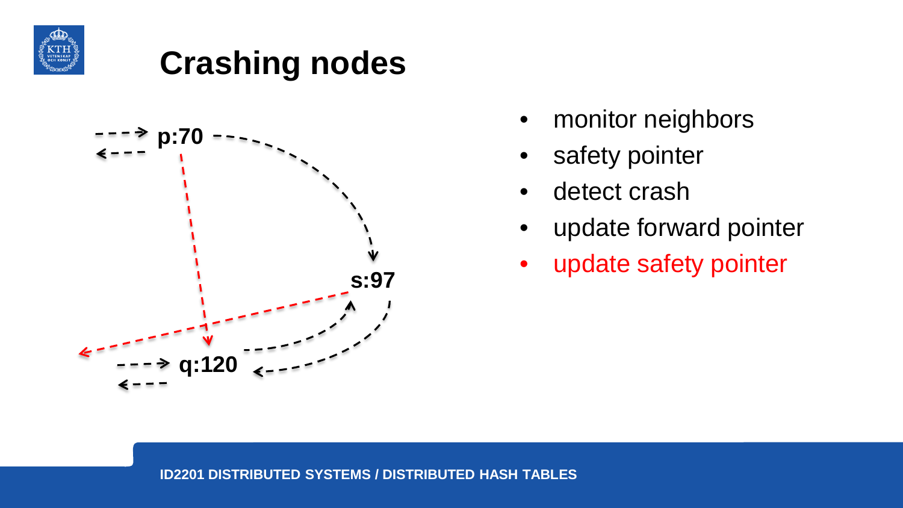



- monitor neighbors
- safety pointer
- detect crash
- update forward pointer
- update safety pointer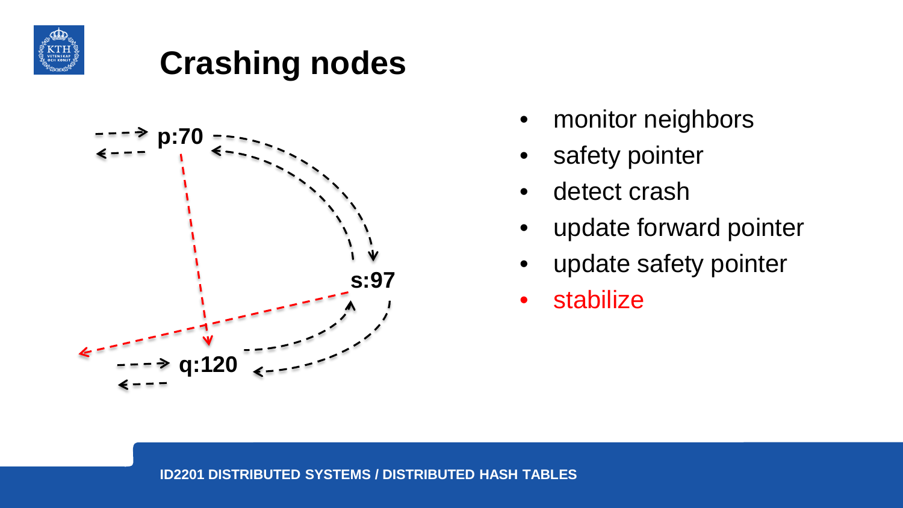



- monitor neighbors
- safety pointer
- detect crash
- update forward pointer
- update safety pointer
- stabilize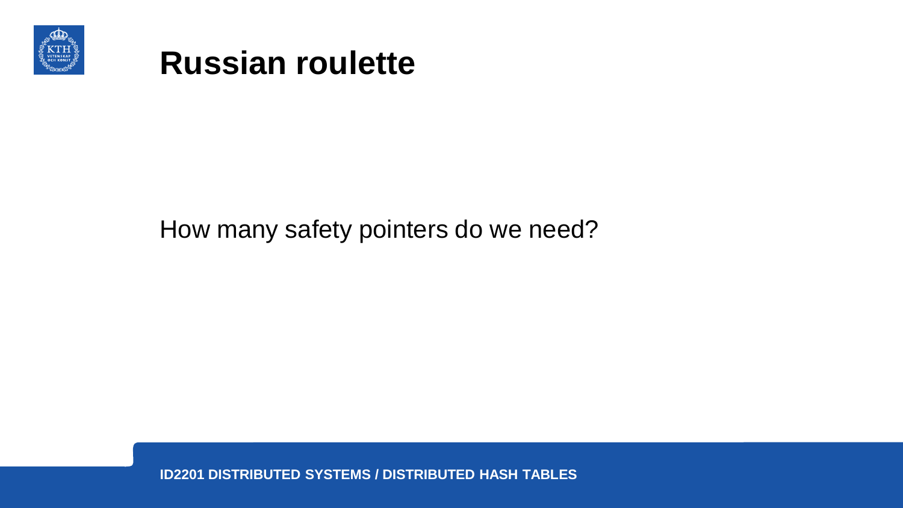



#### How many safety pointers do we need?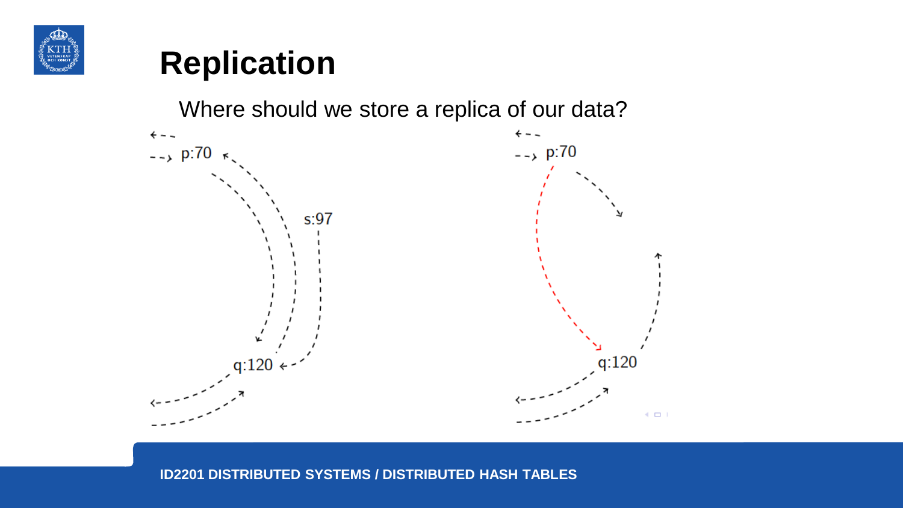

### **Replication**

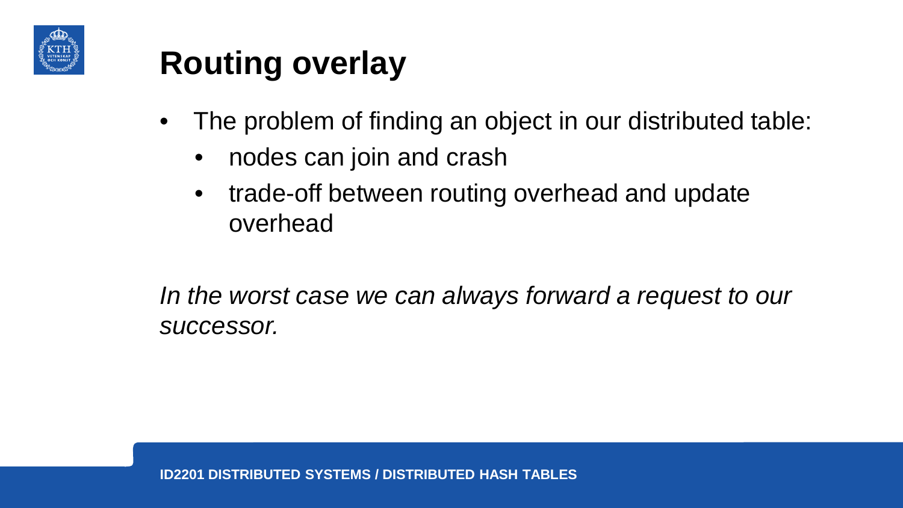

# **Routing overlay**

- The problem of finding an object in our distributed table:
	- nodes can join and crash
	- trade-off between routing overhead and update overhead

*In the worst case we can always forward a request to our successor.*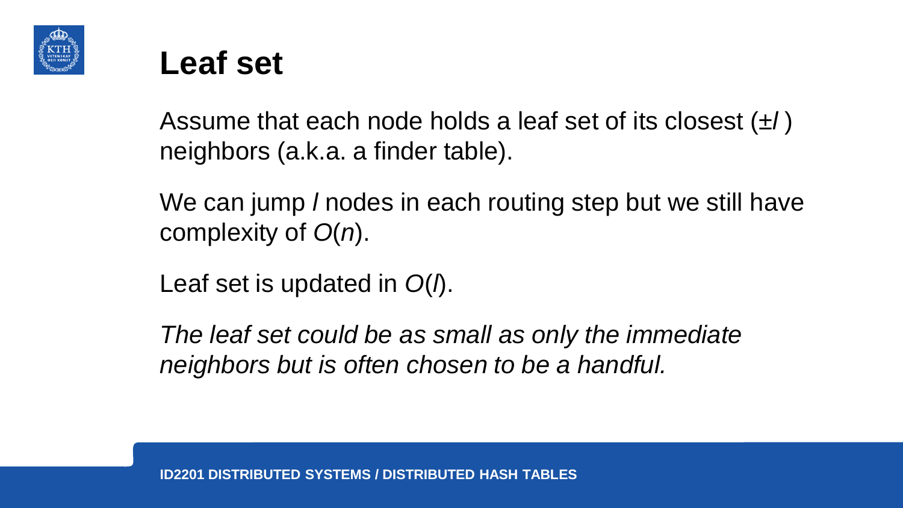



Assume that each node holds a leaf set of its closest (±*l* ) neighbors (a.k.a. a finder table).

We can jump *l* nodes in each routing step but we still have complexity of *O*(*n*).

Leaf set is updated in *O*(*l*).

*The leaf set could be as small as only the immediate neighbors but is often chosen to be a handful.*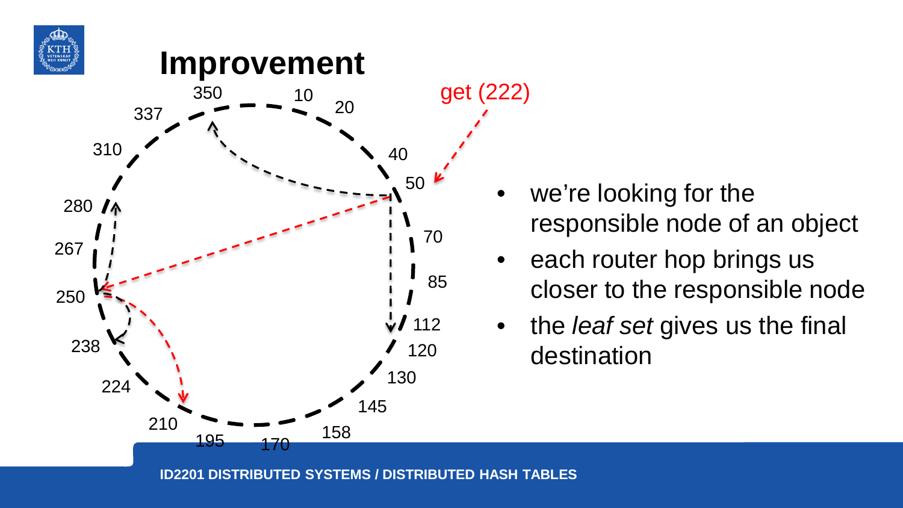



- we're looking for the responsible node of an object
- each router hop brings us closer to the responsible node
- the *leaf set* gives us the final destination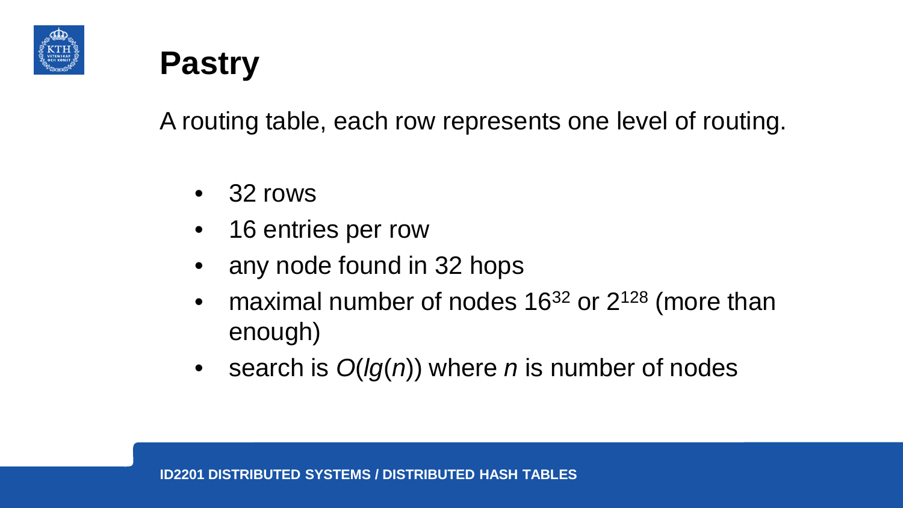



A routing table, each row represents one level of routing.

- 32 rows
- 16 entries per row
- any node found in 32 hops
- maximal number of nodes  $16^{32}$  or  $2^{128}$  (more than enough)
- search is *O*(*lg*(*n*)) where *n* is number of nodes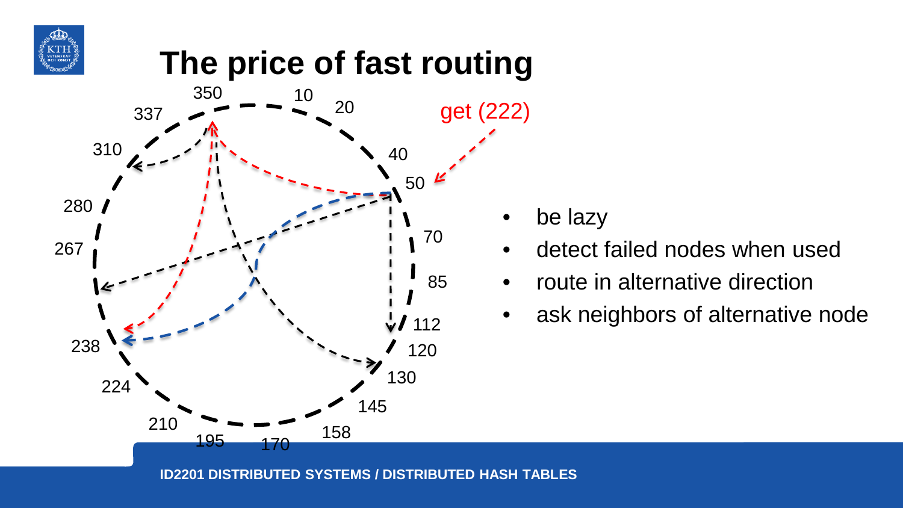

# **The price of fast routing**



be lazy

- detect failed nodes when used
- route in alternative direction
- ask neighbors of alternative node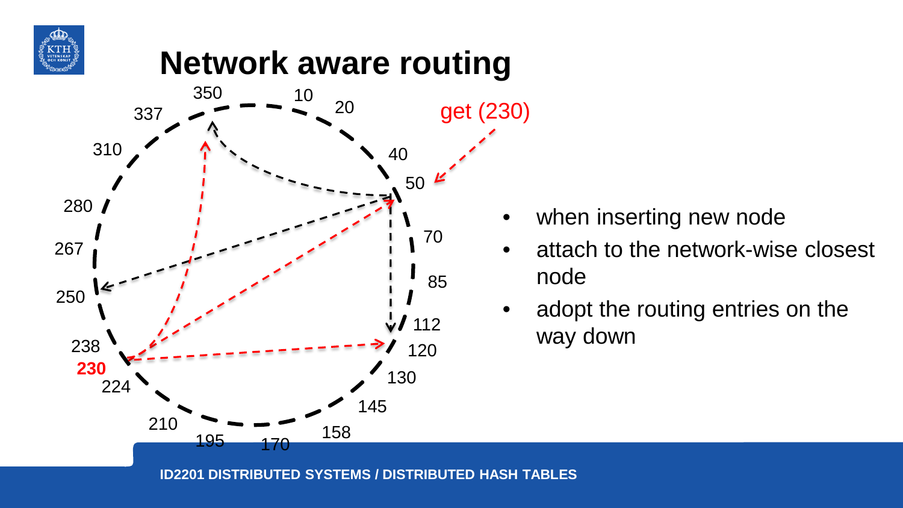

# **Network aware routing**



- when inserting new node
- attach to the network-wise closest node
- adopt the routing entries on the way down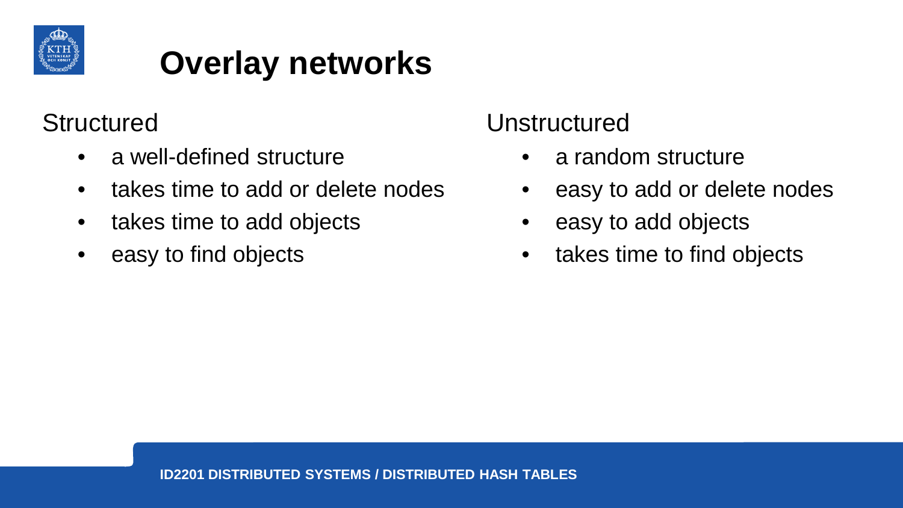

# **Overlay networks**

#### **Structured**

- a well-defined structure
- takes time to add or delete nodes
- takes time to add objects
- easy to find objects

#### Unstructured

- a random structure
- easy to add or delete nodes
- easy to add objects
- takes time to find objects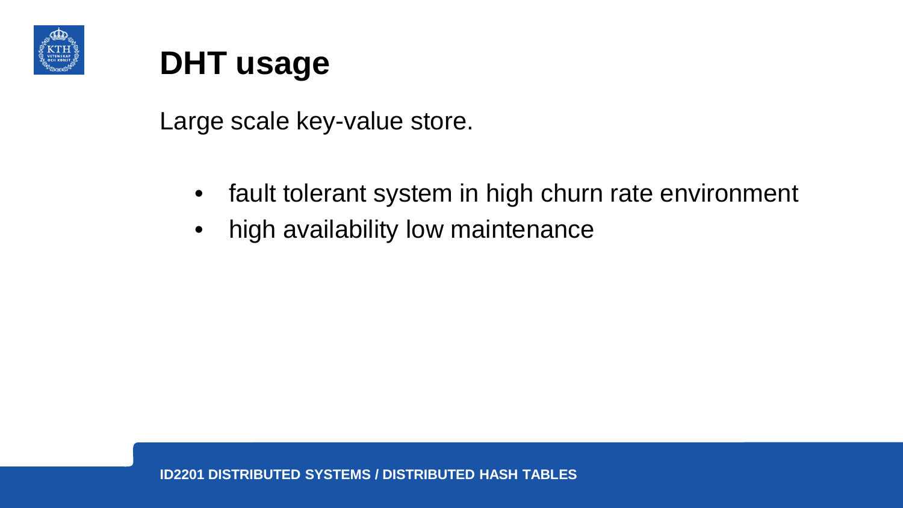

# **DHT usage**

Large scale key-value store.

- fault tolerant system in high churn rate environment
- high availability low maintenance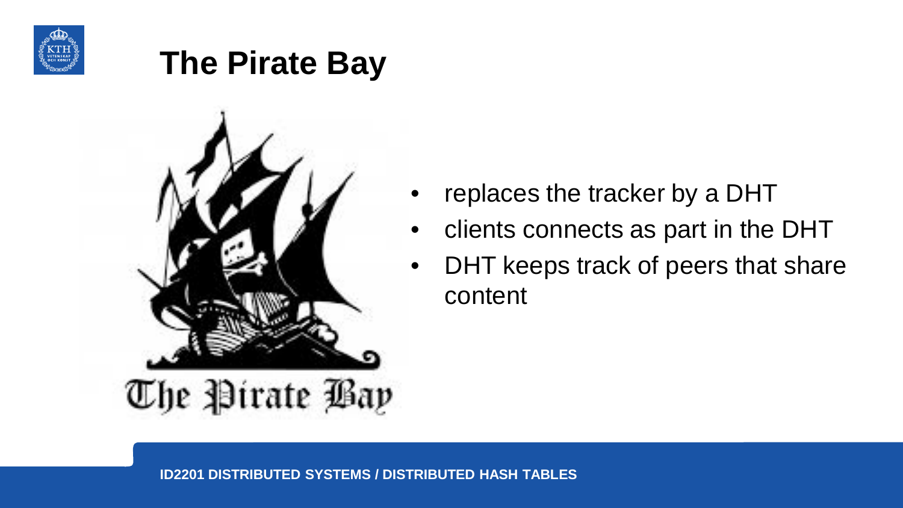

# **The Pirate Bay**



- replaces the tracker by a DHT
- clients connects as part in the DHT
- DHT keeps track of peers that share content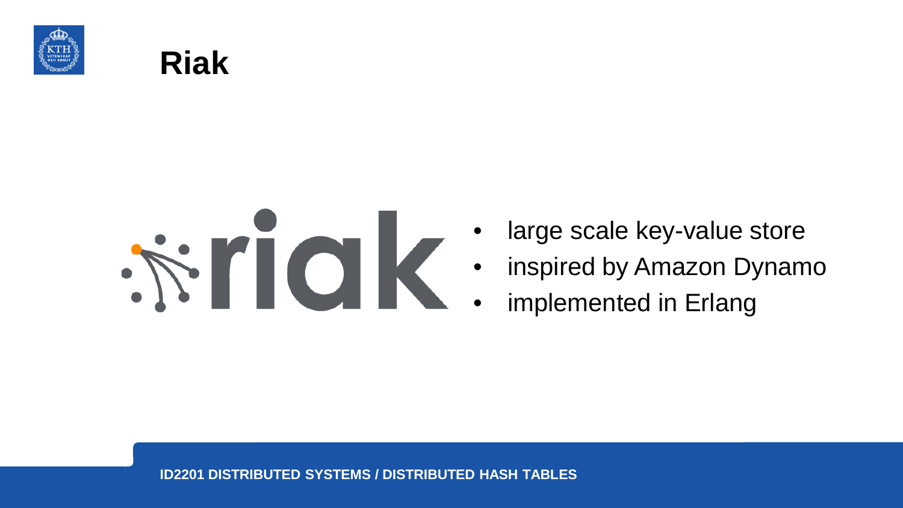





- large scale key-value store
- inspired by Amazon Dynamo
- implemented in Erlang